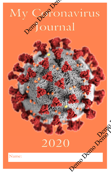## Name: Demo Demo Demo Demo Demo Demo Demo Demo Demo Demo Demo Demo Demo Demo Demo Demo Demo Demo Demo Demo My Geronavirus

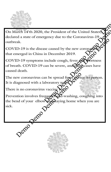

On March 14'th 2020, the President of the United States, declared a state of emergency due to the Coronavirus-19 outbreak.

COVID-19 is the disease caused by the new coronay that emerged in China in December 2019.

COVID-19 symptoms include cough, fever and Shortness<br>of breath. COVID-19 can be severe, and Some caused death. of breath. COVID-19 can be severe, and some caused death.

The new coronavirus can be spread from person to person. It is diagnosed with a laboratory text.

There is no coronavirus vaccine  $\forall x$ 

Prevention involves frequent hand-washing, coughing into the bend of your elbow  $\mathbf{u}$   $\mathbf{v}$  algebra home when you are sick. Demo Demo Demo Demo Property Controller Controller Controller Controller Controller Controller Controller Controller Controller Controller Controller Controller Controller Controller Controller Controller Controller Controller Controller Cont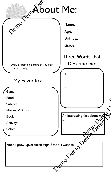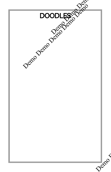